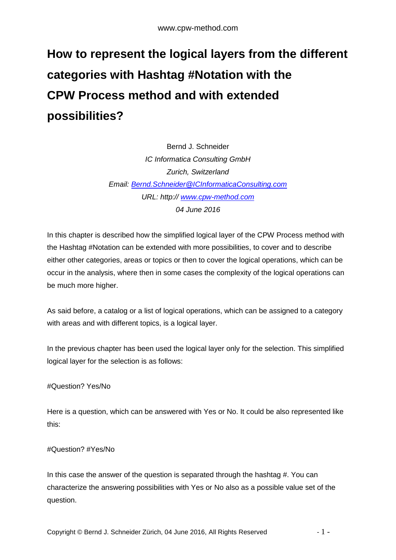# **How to represent the logical layers from the different categories with Hashtag #Notation with the CPW Process method and with extended possibilities?**

Bernd J. Schneider *IC Informatica Consulting GmbH Zurich, Switzerland Email: [Bernd.Schneider@ICInformaticaConsulting.com](mailto:Bernd.Schneider@ICInformaticaConsulting.com) URL: http:// [www.cpw-method.com](http://www.cpw-method.com/) 04 June 2016*

In this chapter is described how the simplified logical layer of the CPW Process method with the Hashtag #Notation can be extended with more possibilities, to cover and to describe either other categories, areas or topics or then to cover the logical operations, which can be occur in the analysis, where then in some cases the complexity of the logical operations can be much more higher.

As said before, a catalog or a list of logical operations, which can be assigned to a category with areas and with different topics, is a logical layer.

In the previous chapter has been used the logical layer only for the selection. This simplified logical layer for the selection is as follows:

# #Question? Yes/No

Here is a question, which can be answered with Yes or No. It could be also represented like this:

# #Question? #Yes/No

In this case the answer of the question is separated through the hashtag #. You can characterize the answering possibilities with Yes or No also as a possible value set of the question.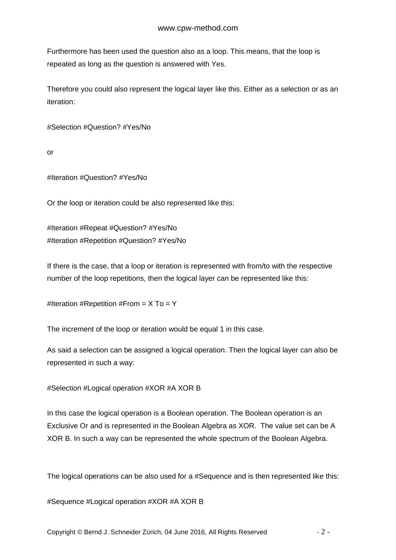Furthermore has been used the question also as a loop. This means, that the loop is repeated as long as the question is answered with Yes.

Therefore you could also represent the logical layer like this. Either as a selection or as an iteration:

#Selection #Question? #Yes/No

or

#Iteration #Question? #Yes/No

Or the loop or iteration could be also represented like this:

#Iteration #Repeat #Question? #Yes/No #Iteration #Repetition #Question? #Yes/No

If there is the case, that a loop or iteration is represented with from/to with the respective number of the loop repetitions, then the logical layer can be represented like this:

#Iteration #Repetition #From =  $X$  To = Y

The increment of the loop or iteration would be equal 1 in this case.

As said a selection can be assigned a logical operation. Then the logical layer can also be represented in such a way:

#Selection #Logical operation #XOR #A XOR B

In this case the logical operation is a Boolean operation. The Boolean operation is an Exclusive Or and is represented in the Boolean Algebra as XOR. The value set can be A XOR B. In such a way can be represented the whole spectrum of the Boolean Algebra.

The logical operations can be also used for a #Sequence and is then represented like this:

#Sequence #Logical operation #XOR #A XOR B

Copyright © Bernd J. Schneider Zürich, 04 June 2016, All Rights Reserved - 2 -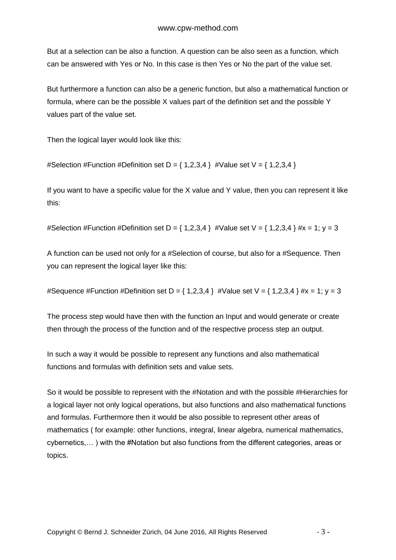But at a selection can be also a function. A question can be also seen as a function, which can be answered with Yes or No. In this case is then Yes or No the part of the value set.

But furthermore a function can also be a generic function, but also a mathematical function or formula, where can be the possible X values part of the definition set and the possible Y values part of the value set.

Then the logical layer would look like this:

#Selection #Function #Definition set D =  $\{ 1,2,3,4 \}$  #Value set V =  $\{ 1,2,3,4 \}$ 

If you want to have a specific value for the X value and Y value, then you can represent it like this:

#Selection #Function #Definition set D = { 1,2,3,4 } #Value set V = { 1,2,3,4 } #x = 1; y = 3

A function can be used not only for a #Selection of course, but also for a #Sequence. Then you can represent the logical layer like this:

#Sequence #Function #Definition set D =  $\{ 1,2,3,4 \}$  #Value set V =  $\{ 1,2,3,4 \}$  #x = 1; y = 3

The process step would have then with the function an Input and would generate or create then through the process of the function and of the respective process step an output.

In such a way it would be possible to represent any functions and also mathematical functions and formulas with definition sets and value sets.

So it would be possible to represent with the #Notation and with the possible #Hierarchies for a logical layer not only logical operations, but also functions and also mathematical functions and formulas. Furthermore then it would be also possible to represent other areas of mathematics ( for example: other functions, integral, linear algebra, numerical mathematics, cybernetics,… ) with the #Notation but also functions from the different categories, areas or topics.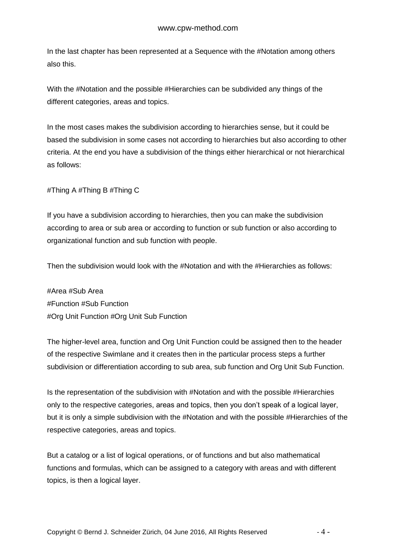In the last chapter has been represented at a Sequence with the #Notation among others also this.

With the #Notation and the possible #Hierarchies can be subdivided any things of the different categories, areas and topics.

In the most cases makes the subdivision according to hierarchies sense, but it could be based the subdivision in some cases not according to hierarchies but also according to other criteria. At the end you have a subdivision of the things either hierarchical or not hierarchical as follows:

#Thing A #Thing B #Thing C

If you have a subdivision according to hierarchies, then you can make the subdivision according to area or sub area or according to function or sub function or also according to organizational function and sub function with people.

Then the subdivision would look with the #Notation and with the #Hierarchies as follows:

#Area #Sub Area #Function #Sub Function #Org Unit Function #Org Unit Sub Function

The higher-level area, function and Org Unit Function could be assigned then to the header of the respective Swimlane and it creates then in the particular process steps a further subdivision or differentiation according to sub area, sub function and Org Unit Sub Function.

Is the representation of the subdivision with #Notation and with the possible #Hierarchies only to the respective categories, areas and topics, then you don't speak of a logical layer, but it is only a simple subdivision with the #Notation and with the possible #Hierarchies of the respective categories, areas and topics.

But a catalog or a list of logical operations, or of functions and but also mathematical functions and formulas, which can be assigned to a category with areas and with different topics, is then a logical layer.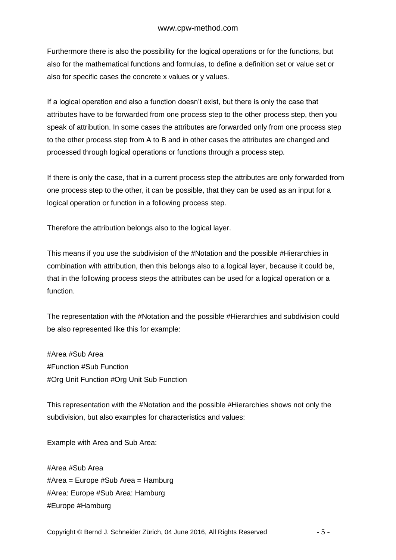Furthermore there is also the possibility for the logical operations or for the functions, but also for the mathematical functions and formulas, to define a definition set or value set or also for specific cases the concrete x values or y values.

If a logical operation and also a function doesn't exist, but there is only the case that attributes have to be forwarded from one process step to the other process step, then you speak of attribution. In some cases the attributes are forwarded only from one process step to the other process step from A to B and in other cases the attributes are changed and processed through logical operations or functions through a process step.

If there is only the case, that in a current process step the attributes are only forwarded from one process step to the other, it can be possible, that they can be used as an input for a logical operation or function in a following process step.

Therefore the attribution belongs also to the logical layer.

This means if you use the subdivision of the #Notation and the possible #Hierarchies in combination with attribution, then this belongs also to a logical layer, because it could be, that in the following process steps the attributes can be used for a logical operation or a function.

The representation with the #Notation and the possible #Hierarchies and subdivision could be also represented like this for example:

#Area #Sub Area #Function #Sub Function #Org Unit Function #Org Unit Sub Function

This representation with the #Notation and the possible #Hierarchies shows not only the subdivision, but also examples for characteristics and values:

Example with Area and Sub Area:

#Area #Sub Area #Area = Europe #Sub Area = Hamburg #Area: Europe #Sub Area: Hamburg #Europe #Hamburg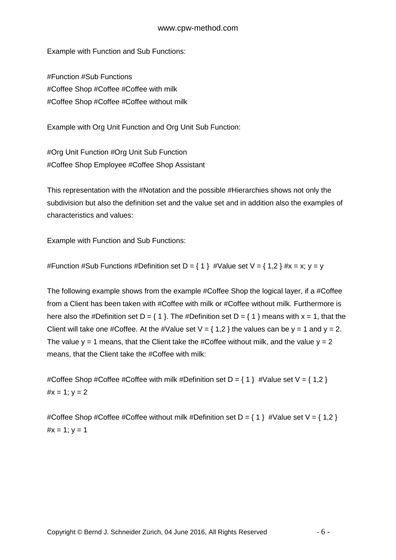#### www.cpw-method.com

Example with Function and Sub Functions:

#Function #Sub Functions #Coffee Shop #Coffee #Coffee with milk #Coffee Shop #Coffee #Coffee without milk

Example with Org Unit Function and Org Unit Sub Function:

#Org Unit Function #Org Unit Sub Function #Coffee Shop Employee #Coffee Shop Assistant

This representation with the #Notation and the possible #Hierarchies shows not only the subdivision but also the definition set and the value set and in addition also the examples of characteristics and values:

Example with Function and Sub Functions:

#Function #Sub Functions #Definition set D = { 1 } #Value set V = { 1,2 } #x = x; y = y

The following example shows from the example #Coffee Shop the logical layer, if a #Coffee from a Client has been taken with #Coffee with milk or #Coffee without milk. Furthermore is here also the #Definition set D =  $\{ 1 \}$ . The #Definition set D =  $\{ 1 \}$  means with x = 1, that the Client will take one #Coffee. At the #Value set  $V = \{ 1,2 \}$  the values can be y = 1 and y = 2. The value  $y = 1$  means, that the Client take the #Coffee without milk, and the value  $y = 2$ means, that the Client take the #Coffee with milk:

#Coffee Shop #Coffee #Coffee with milk #Definition set  $D = \{ 1 \}$  #Value set  $V = \{ 1, 2 \}$  $#x = 1$ ;  $v = 2$ 

#Coffee Shop #Coffee #Coffee without milk #Definition set D = { 1 } #Value set V = { 1,2 }  $#x = 1$ ;  $y = 1$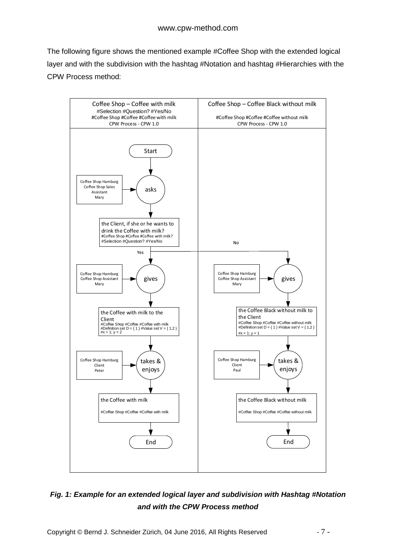The following figure shows the mentioned example #Coffee Shop with the extended logical layer and with the subdivision with the hashtag #Notation and hashtag #Hierarchies with the CPW Process method:



# *Fig. 1: Example for an extended logical layer and subdivision with Hashtag #Notation and with the CPW Process method*